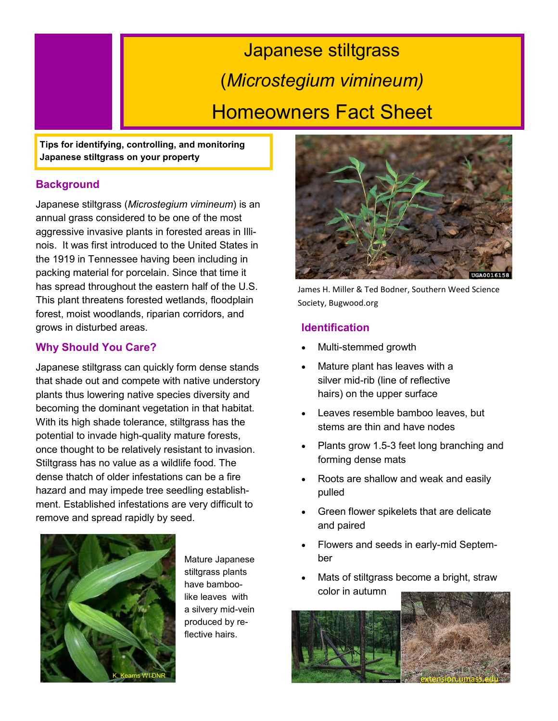# Japanese stiltgrass (*Microstegium vimineum)* Homeowners Fact Sheet

**Tips for identifying, controlling, and monitoring Japanese stiltgrass on your property**

# **Background**

Japanese stiltgrass (*Microstegium vimineum*) is an annual grass considered to be one of the most aggressive invasive plants in forested areas in Illinois. It was first introduced to the United States in the 1919 in Tennessee having been including in packing material for porcelain. Since that time it has spread throughout the eastern half of the U.S. This plant threatens forested wetlands, floodplain forest, moist woodlands, riparian corridors, and grows in disturbed areas.

# **Why Should You Care?**

Japanese stiltgrass can quickly form dense stands that shade out and compete with native understory plants thus lowering native species diversity and becoming the dominant vegetation in that habitat. With its high shade tolerance, stiltgrass has the potential to invade high-quality mature forests, once thought to be relatively resistant to invasion. Stiltgrass has no value as a wildlife food. The dense thatch of older infestations can be a fire hazard and may impede tree seedling establishment. Established infestations are very difficult to remove and spread rapidly by seed.



Mature Japanese stiltgrass plants have bamboolike leaves with a silvery mid-vein produced by reflective hairs.



James H. Miller & Ted Bodner, Southern Weed Science Society, Bugwood.org

# **Identification**

- Multi-stemmed growth
- Mature plant has leaves with a silver mid-rib (line of reflective hairs) on the upper surface
- Leaves resemble bamboo leaves, but stems are thin and have nodes
- Plants grow 1.5-3 feet long branching and forming dense mats
- Roots are shallow and weak and easily pulled
- Green flower spikelets that are delicate and paired
- Flowers and seeds in early-mid September
- Mats of stiltgrass become a bright, straw color in autumn